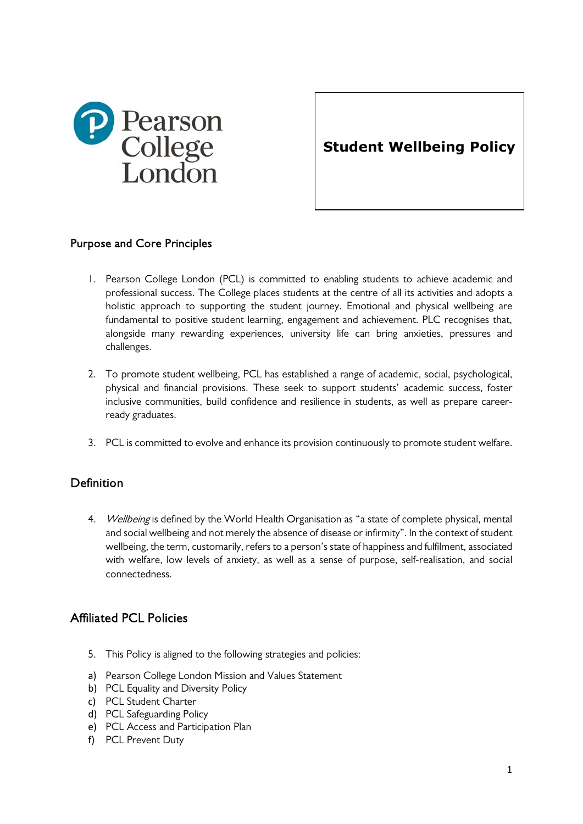

**Student Wellbeing Policy**

## Purpose and Core Principles

- 1. Pearson College London (PCL) is committed to enabling students to achieve academic and professional success. The College places students at the centre of all its activities and adopts a holistic approach to supporting the student journey. Emotional and physical wellbeing are fundamental to positive student learning, engagement and achievement. PLC recognises that, alongside many rewarding experiences, university life can bring anxieties, pressures and challenges.
- 2. To promote student wellbeing, PCL has established a range of academic, social, psychological, physical and financial provisions. These seek to support students' academic success, foster inclusive communities, build confidence and resilience in students, as well as prepare careerready graduates.
- 3. PCL is committed to evolve and enhance its provision continuously to promote student welfare.

# Definition

4. Wellbeing is defined by the World Health Organisation as "a state of complete physical, mental and social wellbeing and not merely the absence of disease or infirmity". In the context of student wellbeing, the term, customarily, refers to a person's state of happiness and fulfilment, associated with welfare, low levels of anxiety, as well as a sense of purpose, self-realisation, and social connectedness.

# Affiliated PCL Policies

- 5. This Policy is aligned to the following strategies and policies:
- a) Pearson College London Mission and Values Statement
- b) PCL Equality and Diversity Policy
- c) PCL Student Charter
- d) PCL Safeguarding Policy
- e) PCL Access and Participation Plan
- f) PCL Prevent Duty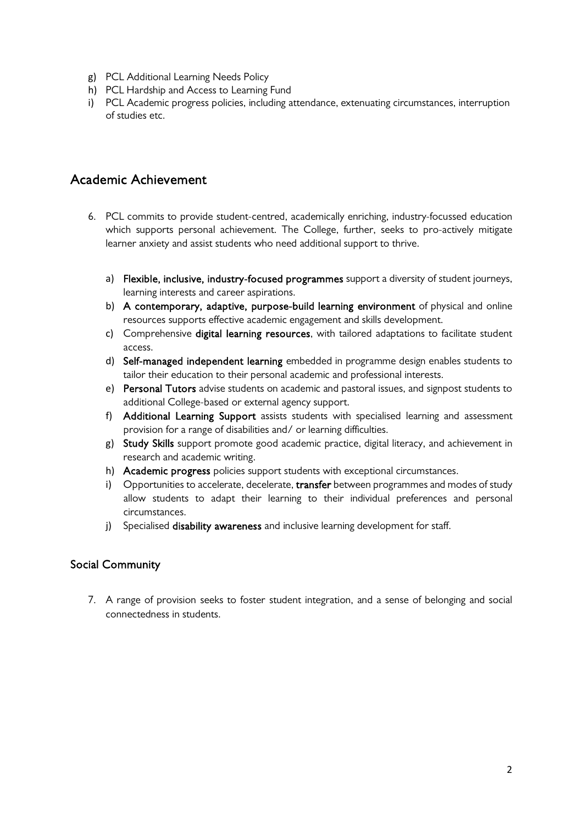- g) PCL Additional Learning Needs Policy
- h) PCL Hardship and Access to Learning Fund
- i) PCL Academic progress policies, including attendance, extenuating circumstances, interruption of studies etc.

# Academic Achievement

- 6. PCL commits to provide student-centred, academically enriching, industry-focussed education which supports personal achievement. The College, further, seeks to pro-actively mitigate learner anxiety and assist students who need additional support to thrive.
	- a) Flexible, inclusive, industry-focused programmes support a diversity of student journeys, learning interests and career aspirations.
	- b) A contemporary, adaptive, purpose-build learning environment of physical and online resources supports effective academic engagement and skills development.
	- c) Comprehensive digital learning resources, with tailored adaptations to facilitate student access.
	- d) Self-managed independent learning embedded in programme design enables students to tailor their education to their personal academic and professional interests.
	- e) Personal Tutors advise students on academic and pastoral issues, and signpost students to additional College-based or external agency support.
	- f) Additional Learning Support assists students with specialised learning and assessment provision for a range of disabilities and/ or learning difficulties.
	- g) Study Skills support promote good academic practice, digital literacy, and achievement in research and academic writing.
	- h) Academic progress policies support students with exceptional circumstances.
	- i) Opportunities to accelerate, decelerate, transfer between programmes and modes of study allow students to adapt their learning to their individual preferences and personal circumstances.
	- j) Specialised disability awareness and inclusive learning development for staff.

#### Social Community

7. A range of provision seeks to foster student integration, and a sense of belonging and social connectedness in students.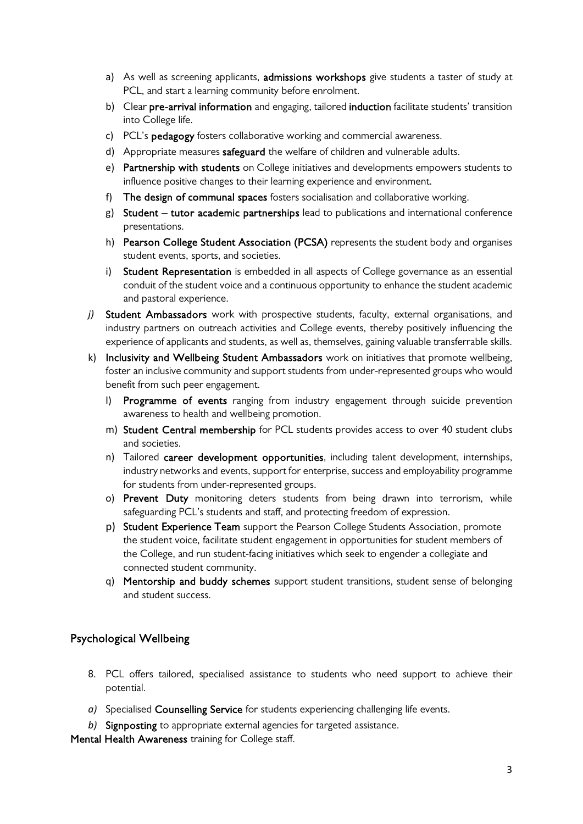- a) As well as screening applicants, admissions workshops give students a taster of study at PCL, and start a learning community before enrolment.
- b) Clear pre-arrival information and engaging, tailored induction facilitate students' transition into College life.
- c) PCL's pedagogy fosters collaborative working and commercial awareness.
- d) Appropriate measures safeguard the welfare of children and vulnerable adults.
- e) Partnership with students on College initiatives and developments empowers students to influence positive changes to their learning experience and environment.
- f) The design of communal spaces fosters socialisation and collaborative working.
- g) Student tutor academic partnerships lead to publications and international conference presentations.
- h) Pearson College Student Association (PCSA) represents the student body and organises student events, sports, and societies.
- i) Student Representation is embedded in all aspects of College governance as an essential conduit of the student voice and a continuous opportunity to enhance the student academic and pastoral experience.
- *j*) Student Ambassadors work with prospective students, faculty, external organisations, and industry partners on outreach activities and College events, thereby positively influencing the experience of applicants and students, as well as, themselves, gaining valuable transferrable skills.
- k) Inclusivity and Wellbeing Student Ambassadors work on initiatives that promote wellbeing, foster an inclusive community and support students from under-represented groups who would benefit from such peer engagement.
	- l) Programme of events ranging from industry engagement through suicide prevention awareness to health and wellbeing promotion.
	- m) Student Central membership for PCL students provides access to over 40 student clubs and societies.
	- n) Tailored career development opportunities, including talent development, internships, industry networks and events, support for enterprise, success and employability programme for students from under-represented groups.
	- o) Prevent Duty monitoring deters students from being drawn into terrorism, while safeguarding PCL's students and staff, and protecting freedom of expression.
	- p) Student Experience Team support the Pearson College Students Association, promote the student voice, facilitate student engagement in opportunities for student members of the College, and run student-facing initiatives which seek to engender a collegiate and connected student community.
	- q) Mentorship and buddy schemes support student transitions, student sense of belonging and student success.

#### Psychological Wellbeing

- 8. PCL offers tailored, specialised assistance to students who need support to achieve their potential.
- *a)* Specialised Counselling Service for students experiencing challenging life events.
- *b)* Signposting to appropriate external agencies for targeted assistance.

Mental Health Awareness training for College staff.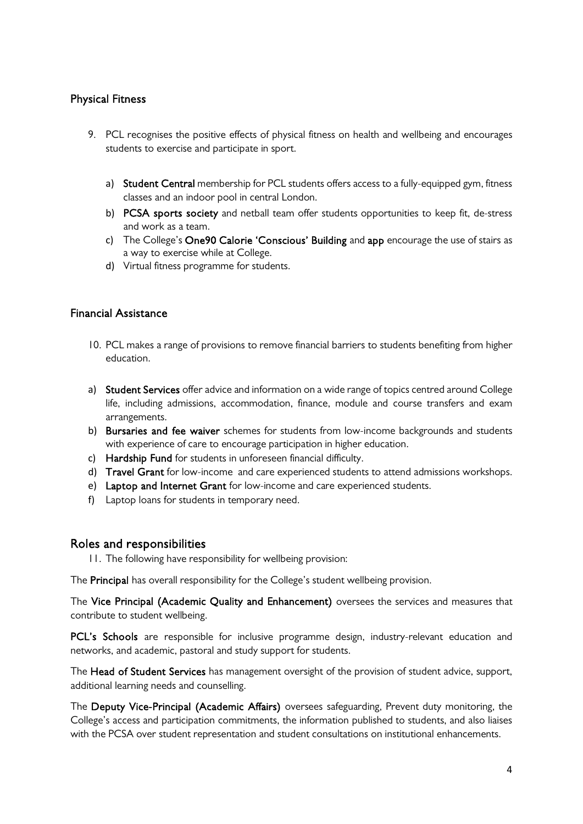## Physical Fitness

- 9. PCL recognises the positive effects of physical fitness on health and wellbeing and encourages students to exercise and participate in sport.
	- a) Student Central membership for PCL students offers access to a fully-equipped gym, fitness classes and an indoor pool in central London.
	- b) PCSA sports society and netball team offer students opportunities to keep fit, de-stress and work as a team.
	- c) The College's One90 Calorie 'Conscious' Building and app encourage the use of stairs as a way to exercise while at College.
	- d) Virtual fitness programme for students.

#### Financial Assistance

- 10. PCL makes a range of provisions to remove financial barriers to students benefiting from higher education.
- a) Student Services offer advice and information on a wide range of topics centred around College life, including admissions, accommodation, finance, module and course transfers and exam arrangements.
- b) Bursaries and fee waiver schemes for students from low-income backgrounds and students with experience of care to encourage participation in higher education.
- c) Hardship Fund for students in unforeseen financial difficulty.
- d) Travel Grant for low-income and care experienced students to attend admissions workshops.
- e) Laptop and Internet Grant for low-income and care experienced students.
- f) Laptop loans for students in temporary need.

#### Roles and responsibilities

11. The following have responsibility for wellbeing provision:

The Principal has overall responsibility for the College's student wellbeing provision.

The Vice Principal (Academic Quality and Enhancement) oversees the services and measures that contribute to student wellbeing.

PCL's Schools are responsible for inclusive programme design, industry-relevant education and networks, and academic, pastoral and study support for students.

The Head of Student Services has management oversight of the provision of student advice, support, additional learning needs and counselling.

The Deputy Vice-Principal (Academic Affairs) oversees safeguarding, Prevent duty monitoring, the College's access and participation commitments, the information published to students, and also liaises with the PCSA over student representation and student consultations on institutional enhancements.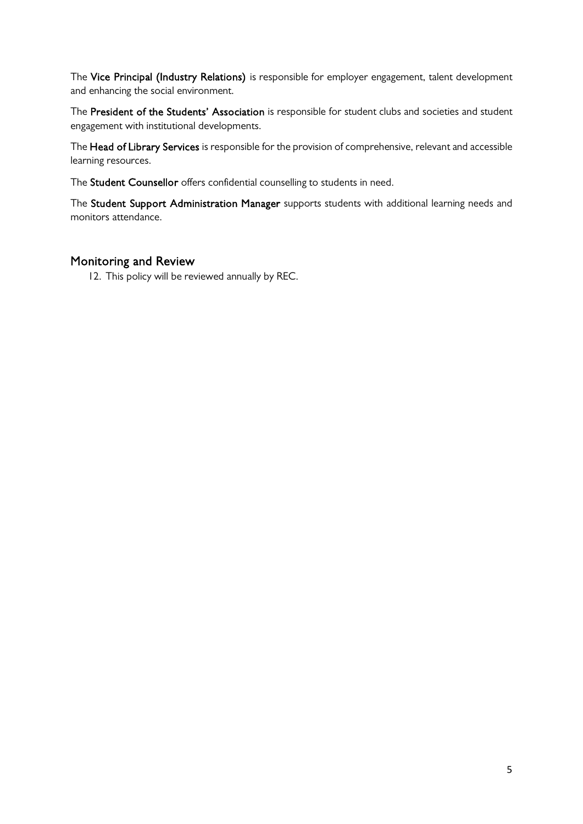The Vice Principal (Industry Relations) is responsible for employer engagement, talent development and enhancing the social environment.

The President of the Students' Association is responsible for student clubs and societies and student engagement with institutional developments.

The Head of Library Services is responsible for the provision of comprehensive, relevant and accessible learning resources.

The Student Counsellor offers confidential counselling to students in need.

The Student Support Administration Manager supports students with additional learning needs and monitors attendance.

#### Monitoring and Review

12. This policy will be reviewed annually by REC.